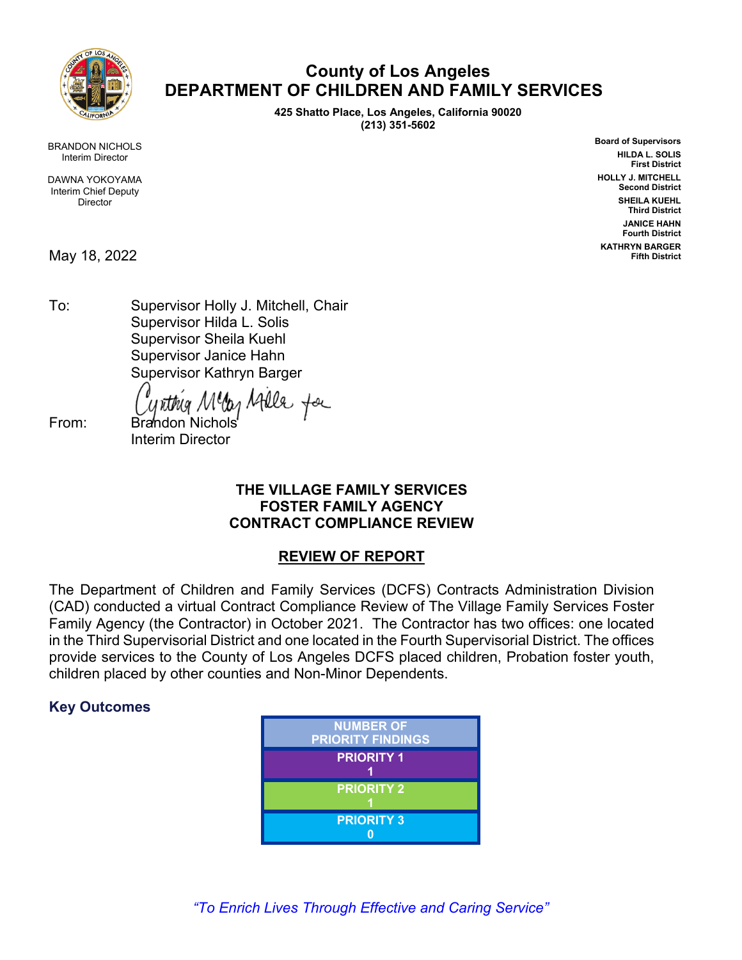

# **County of Los Angeles DEPARTMENT OF CHILDREN AND FAMILY SERVICES**

**425 Shatto Place, Los Angeles, California 90020 (213) 351-5602**

> **Board of Supervisors HILDA L. SOLIS First District HOLLY J. MITCHELL Second District SHEILA KUEHL Third District JANICE HAHN Fourth District KATHRYN BARGER Fifth District**

BRANDON NICHOLS Interim Director

DAWNA YOKOYAMA Interim Chief Deputy Director

May 18, 2022

To: Supervisor Holly J. Mitchell, Chair Supervisor Hilda L. Solis Supervisor Sheila Kuehl Supervisor Janice Hahn Supervisor Kathryn Barger

day Atlle for

From: Brandon Nichols Interim Director

## **THE VILLAGE FAMILY SERVICES FOSTER FAMILY AGENCY CONTRACT COMPLIANCE REVIEW**

## **REVIEW OF REPORT**

The Department of Children and Family Services (DCFS) Contracts Administration Division (CAD) conducted a virtual Contract Compliance Review of The Village Family Services Foster Family Agency (the Contractor) in October 2021. The Contractor has two offices: one located in the Third Supervisorial District and one located in the Fourth Supervisorial District. The offices provide services to the County of Los Angeles DCFS placed children, Probation foster youth, children placed by other counties and Non-Minor Dependents.

## **Key Outcomes**



*"To Enrich Lives Through Effective and Caring Service"*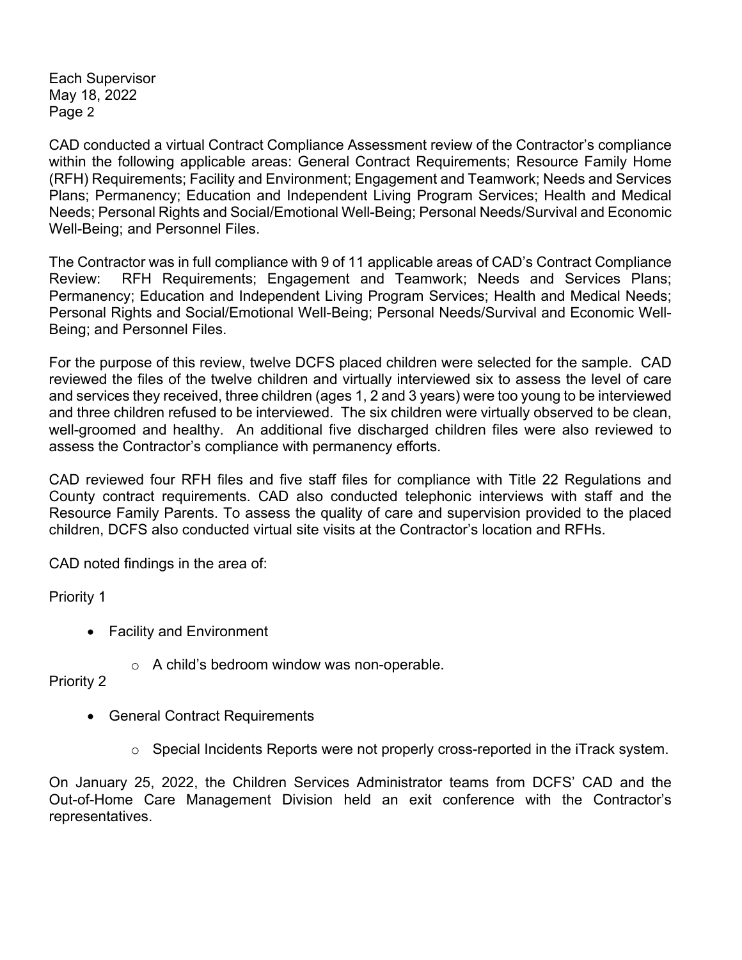Each Supervisor May 18, 2022 Page 2

CAD conducted a virtual Contract Compliance Assessment review of the Contractor's compliance within the following applicable areas: General Contract Requirements; Resource Family Home (RFH) Requirements; Facility and Environment; Engagement and Teamwork; Needs and Services Plans; Permanency; Education and Independent Living Program Services; Health and Medical Needs; Personal Rights and Social/Emotional Well-Being; Personal Needs/Survival and Economic Well-Being; and Personnel Files.

The Contractor was in full compliance with 9 of 11 applicable areas of CAD's Contract Compliance Review: RFH Requirements; Engagement and Teamwork; Needs and Services Plans; Permanency; Education and Independent Living Program Services; Health and Medical Needs; Personal Rights and Social/Emotional Well-Being; Personal Needs/Survival and Economic Well-Being; and Personnel Files.

For the purpose of this review, twelve DCFS placed children were selected for the sample. CAD reviewed the files of the twelve children and virtually interviewed six to assess the level of care and services they received, three children (ages 1, 2 and 3 years) were too young to be interviewed and three children refused to be interviewed. The six children were virtually observed to be clean, well-groomed and healthy. An additional five discharged children files were also reviewed to assess the Contractor's compliance with permanency efforts.

CAD reviewed four RFH files and five staff files for compliance with Title 22 Regulations and County contract requirements. CAD also conducted telephonic interviews with staff and the Resource Family Parents. To assess the quality of care and supervision provided to the placed children, DCFS also conducted virtual site visits at the Contractor's location and RFHs.

CAD noted findings in the area of:

Priority 1

- Facility and Environment
	- o A child's bedroom window was non-operable.

Priority 2

- General Contract Requirements
	- $\circ$  Special Incidents Reports were not properly cross-reported in the iTrack system.

On January 25, 2022, the Children Services Administrator teams from DCFS' CAD and the Out-of-Home Care Management Division held an exit conference with the Contractor's representatives.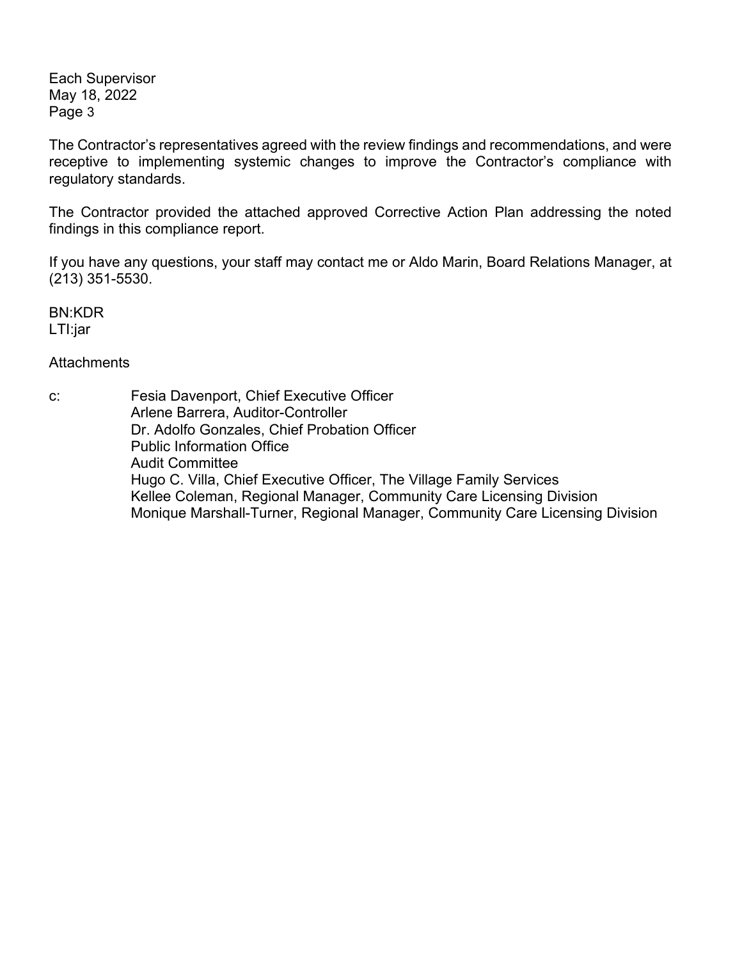Each Supervisor May 18, 2022 Page 3

The Contractor's representatives agreed with the review findings and recommendations, and were receptive to implementing systemic changes to improve the Contractor's compliance with regulatory standards.

The Contractor provided the attached approved Corrective Action Plan addressing the noted findings in this compliance report.

If you have any questions, your staff may contact me or Aldo Marin, Board Relations Manager, at (213) 351-5530.

BN:KDR LTI:jar

**Attachments** 

c: Fesia Davenport, Chief Executive Officer Arlene Barrera, Auditor-Controller Dr. Adolfo Gonzales, Chief Probation Officer Public Information Office Audit Committee Hugo C. Villa, Chief Executive Officer, The Village Family Services Kellee Coleman, Regional Manager, Community Care Licensing Division Monique Marshall-Turner, Regional Manager, Community Care Licensing Division